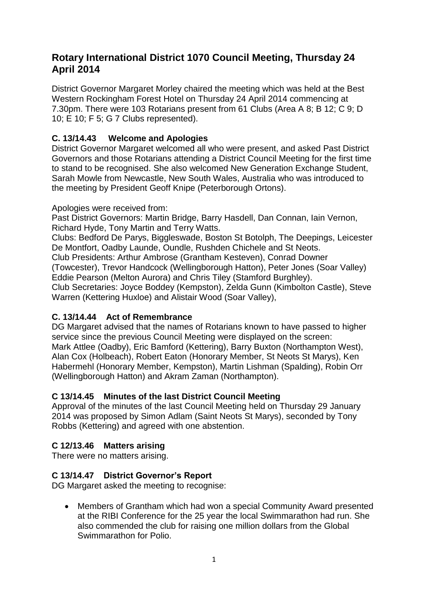# **Rotary International District 1070 Council Meeting, Thursday 24 April 2014**

District Governor Margaret Morley chaired the meeting which was held at the Best Western Rockingham Forest Hotel on Thursday 24 April 2014 commencing at 7.30pm. There were 103 Rotarians present from 61 Clubs (Area A 8; B 12; C 9; D 10; E 10; F 5; G 7 Clubs represented).

## **C. 13/14.43 Welcome and Apologies**

District Governor Margaret welcomed all who were present, and asked Past District Governors and those Rotarians attending a District Council Meeting for the first time to stand to be recognised. She also welcomed New Generation Exchange Student, Sarah Mowle from Newcastle, New South Wales, Australia who was introduced to the meeting by President Geoff Knipe (Peterborough Ortons).

#### Apologies were received from:

Past District Governors: Martin Bridge, Barry Hasdell, Dan Connan, Iain Vernon, Richard Hyde, Tony Martin and Terry Watts.

Clubs: Bedford De Parys, Biggleswade, Boston St Botolph, The Deepings, Leicester De Montfort, Oadby Launde, Oundle, Rushden Chichele and St Neots.

Club Presidents: Arthur Ambrose (Grantham Kesteven), Conrad Downer

(Towcester), Trevor Handcock (Wellingborough Hatton), Peter Jones (Soar Valley) Eddie Pearson (Melton Aurora) and Chris Tiley (Stamford Burghley).

Club Secretaries: Joyce Boddey (Kempston), Zelda Gunn (Kimbolton Castle), Steve Warren (Kettering Huxloe) and Alistair Wood (Soar Valley),

## **C. 13/14.44 Act of Remembrance**

DG Margaret advised that the names of Rotarians known to have passed to higher service since the previous Council Meeting were displayed on the screen: Mark Attlee (Oadby), Eric Bamford (Kettering), Barry Buxton (Northampton West), Alan Cox (Holbeach), Robert Eaton (Honorary Member, St Neots St Marys), Ken Habermehl (Honorary Member, Kempston), Martin Lishman (Spalding), Robin Orr (Wellingborough Hatton) and Akram Zaman (Northampton).

# **C 13/14.45 Minutes of the last District Council Meeting**

Approval of the minutes of the last Council Meeting held on Thursday 29 January 2014 was proposed by Simon Adlam (Saint Neots St Marys), seconded by Tony Robbs (Kettering) and agreed with one abstention.

# **C 12/13.46 Matters arising**

There were no matters arising.

## **C 13/14.47 District Governor's Report**

DG Margaret asked the meeting to recognise:

 Members of Grantham which had won a special Community Award presented at the RIBI Conference for the 25 year the local Swimmarathon had run. She also commended the club for raising one million dollars from the Global Swimmarathon for Polio.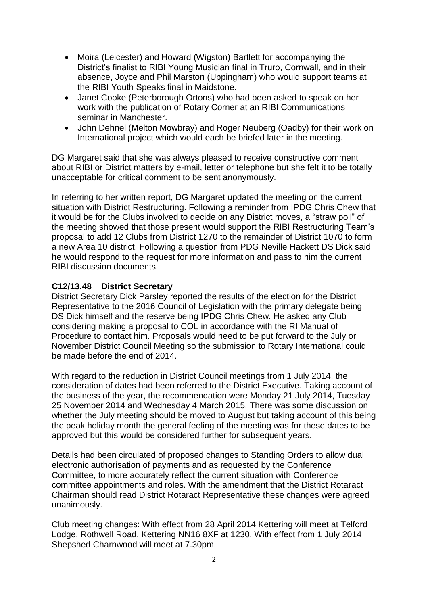- Moira (Leicester) and Howard (Wigston) Bartlett for accompanying the District's finalist to RIBI Young Musician final in Truro, Cornwall, and in their absence, Joyce and Phil Marston (Uppingham) who would support teams at the RIBI Youth Speaks final in Maidstone.
- Janet Cooke (Peterborough Ortons) who had been asked to speak on her work with the publication of Rotary Corner at an RIBI Communications seminar in Manchester.
- John Dehnel (Melton Mowbray) and Roger Neuberg (Oadby) for their work on International project which would each be briefed later in the meeting.

DG Margaret said that she was always pleased to receive constructive comment about RIBI or District matters by e-mail, letter or telephone but she felt it to be totally unacceptable for critical comment to be sent anonymously.

In referring to her written report, DG Margaret updated the meeting on the current situation with District Restructuring. Following a reminder from IPDG Chris Chew that it would be for the Clubs involved to decide on any District moves, a "straw poll" of the meeting showed that those present would support the RIBI Restructuring Team's proposal to add 12 Clubs from District 1270 to the remainder of District 1070 to form a new Area 10 district. Following a question from PDG Neville Hackett DS Dick said he would respond to the request for more information and pass to him the current RIBI discussion documents.

#### **C12/13.48 District Secretary**

District Secretary Dick Parsley reported the results of the election for the District Representative to the 2016 Council of Legislation with the primary delegate being DS Dick himself and the reserve being IPDG Chris Chew. He asked any Club considering making a proposal to COL in accordance with the RI Manual of Procedure to contact him. Proposals would need to be put forward to the July or November District Council Meeting so the submission to Rotary International could be made before the end of 2014.

With regard to the reduction in District Council meetings from 1 July 2014, the consideration of dates had been referred to the District Executive. Taking account of the business of the year, the recommendation were Monday 21 July 2014, Tuesday 25 November 2014 and Wednesday 4 March 2015. There was some discussion on whether the July meeting should be moved to August but taking account of this being the peak holiday month the general feeling of the meeting was for these dates to be approved but this would be considered further for subsequent years.

Details had been circulated of proposed changes to Standing Orders to allow dual electronic authorisation of payments and as requested by the Conference Committee, to more accurately reflect the current situation with Conference committee appointments and roles. With the amendment that the District Rotaract Chairman should read District Rotaract Representative these changes were agreed unanimously.

Club meeting changes: With effect from 28 April 2014 Kettering will meet at Telford Lodge, Rothwell Road, Kettering NN16 8XF at 1230. With effect from 1 July 2014 Shepshed Charnwood will meet at 7.30pm.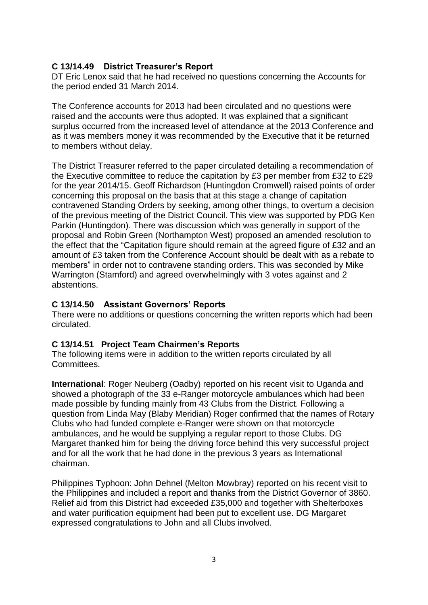## **C 13/14.49 District Treasurer's Report**

DT Eric Lenox said that he had received no questions concerning the Accounts for the period ended 31 March 2014.

The Conference accounts for 2013 had been circulated and no questions were raised and the accounts were thus adopted. It was explained that a significant surplus occurred from the increased level of attendance at the 2013 Conference and as it was members money it was recommended by the Executive that it be returned to members without delay.

The District Treasurer referred to the paper circulated detailing a recommendation of the Executive committee to reduce the capitation by £3 per member from £32 to £29 for the year 2014/15. Geoff Richardson (Huntingdon Cromwell) raised points of order concerning this proposal on the basis that at this stage a change of capitation contravened Standing Orders by seeking, among other things, to overturn a decision of the previous meeting of the District Council. This view was supported by PDG Ken Parkin (Huntingdon). There was discussion which was generally in support of the proposal and Robin Green (Northampton West) proposed an amended resolution to the effect that the "Capitation figure should remain at the agreed figure of £32 and an amount of £3 taken from the Conference Account should be dealt with as a rebate to members" in order not to contravene standing orders. This was seconded by Mike Warrington (Stamford) and agreed overwhelmingly with 3 votes against and 2 abstentions.

#### **C 13/14.50 Assistant Governors' Reports**

There were no additions or questions concerning the written reports which had been circulated.

#### **C 13/14.51 Project Team Chairmen's Reports**

The following items were in addition to the written reports circulated by all Committees.

**International**: Roger Neuberg (Oadby) reported on his recent visit to Uganda and showed a photograph of the 33 e-Ranger motorcycle ambulances which had been made possible by funding mainly from 43 Clubs from the District. Following a question from Linda May (Blaby Meridian) Roger confirmed that the names of Rotary Clubs who had funded complete e-Ranger were shown on that motorcycle ambulances, and he would be supplying a regular report to those Clubs. DG Margaret thanked him for being the driving force behind this very successful project and for all the work that he had done in the previous 3 years as International chairman.

Philippines Typhoon: John Dehnel (Melton Mowbray) reported on his recent visit to the Philippines and included a report and thanks from the District Governor of 3860. Relief aid from this District had exceeded £35,000 and together with Shelterboxes and water purification equipment had been put to excellent use. DG Margaret expressed congratulations to John and all Clubs involved.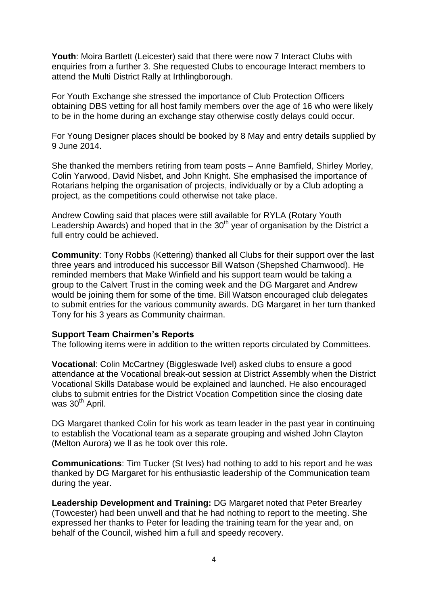**Youth**: Moira Bartlett (Leicester) said that there were now 7 Interact Clubs with enquiries from a further 3. She requested Clubs to encourage Interact members to attend the Multi District Rally at Irthlingborough.

For Youth Exchange she stressed the importance of Club Protection Officers obtaining DBS vetting for all host family members over the age of 16 who were likely to be in the home during an exchange stay otherwise costly delays could occur.

For Young Designer places should be booked by 8 May and entry details supplied by 9 June 2014.

She thanked the members retiring from team posts – Anne Bamfield, Shirley Morley, Colin Yarwood, David Nisbet, and John Knight. She emphasised the importance of Rotarians helping the organisation of projects, individually or by a Club adopting a project, as the competitions could otherwise not take place.

Andrew Cowling said that places were still available for RYLA (Rotary Youth Leadership Awards) and hoped that in the  $30<sup>th</sup>$  year of organisation by the District a full entry could be achieved.

**Community**: Tony Robbs (Kettering) thanked all Clubs for their support over the last three years and introduced his successor Bill Watson (Shepshed Charnwood). He reminded members that Make Winfield and his support team would be taking a group to the Calvert Trust in the coming week and the DG Margaret and Andrew would be joining them for some of the time. Bill Watson encouraged club delegates to submit entries for the various community awards. DG Margaret in her turn thanked Tony for his 3 years as Community chairman.

#### **Support Team Chairmen's Reports**

The following items were in addition to the written reports circulated by Committees.

**Vocational**: Colin McCartney (Biggleswade Ivel) asked clubs to ensure a good attendance at the Vocational break-out session at District Assembly when the District Vocational Skills Database would be explained and launched. He also encouraged clubs to submit entries for the District Vocation Competition since the closing date was 30<sup>th</sup> April.

DG Margaret thanked Colin for his work as team leader in the past year in continuing to establish the Vocational team as a separate grouping and wished John Clayton (Melton Aurora) we ll as he took over this role.

**Communications**: Tim Tucker (St Ives) had nothing to add to his report and he was thanked by DG Margaret for his enthusiastic leadership of the Communication team during the year.

**Leadership Development and Training:** DG Margaret noted that Peter Brearley (Towcester) had been unwell and that he had nothing to report to the meeting. She expressed her thanks to Peter for leading the training team for the year and, on behalf of the Council, wished him a full and speedy recovery.